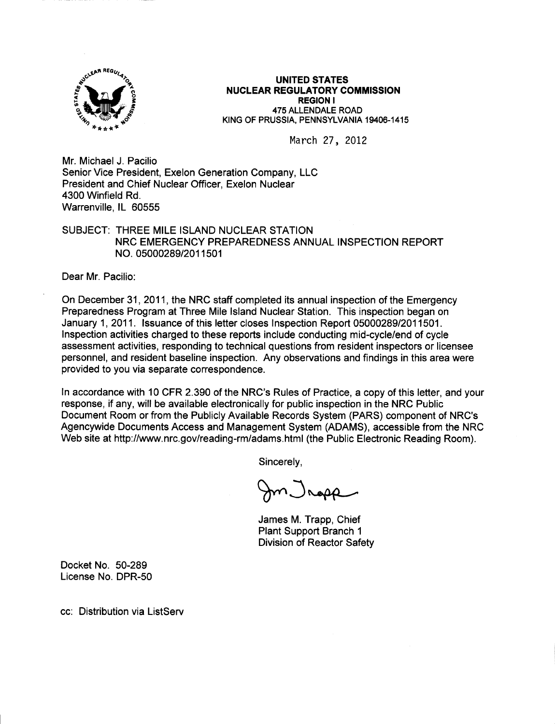

## UNITED STATES NUCLEAR REGULATORY COMMISSION REGION I 475 ALLENDALE ROAD KING OF PRUSSIA. PENNSYLVANIA 19406-1415

March 27, 20Lz

Mr. Michael J. Pacilio Senior Vice President, Exelon Generation Company, LLC President and Chief Nuclear Officer, Exelon Nuclear 4300 Winfield Rd. Warrenville, lL 60555

## SUBJECT: THREE MILE ISLAND NUCLEAR STATION NRC EMERGENCY PREPAREDNESS ANNUAL INSPECTION REPORT NO. 05000289/2011501

Dear Mr. Pacilio:

On December 31 ,2011, the NRC staff completed its annual inspection of the Emergency Preparedness Program at Three Mile lsland Nuclear Station. This inspection began on January 1, 2011. lssuance of this letter closes lnspection Report 05000289/2011501. Inspection activities charged to these reports include conducting mid-cycle/end of cycle assessment activities, responding to technical questions from resident inspectors or licensee personnel, and resident baseline inspection. Any observations and findings in this area were provided to you via separate correspondence.

ln accordance with 10 CFR 2.390 of the NRC's Rules of Practice, a copy of this letter, and your response, if any, will be available electronically for public inspection in the NRC Public Document Room or from the Publicly Available Records System (PARS) component of NRC's Agencywide Documents Access and Management System (ADAMS), accessible from the NRC Web site at http://www.nrc.gov/reading-rm/adams.html (the Public Electronic Reading Room).

Sincerely,

 $\mathcal{C}$ ) Nopp

James M. Trapp, Chief Plant Support Branch <sup>1</sup> Division of Reactor Safety

Docket No. 50-289 License No. DPR-50

cc. Distribution via ListServ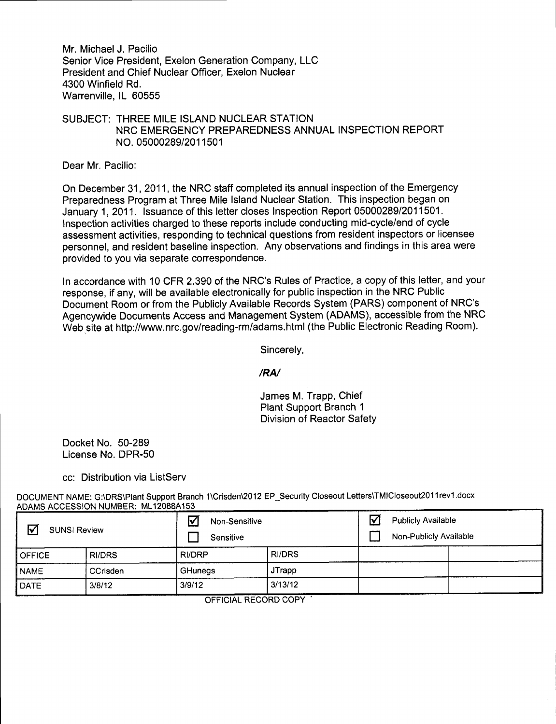Mr. Michael J. Pacilio Senior Vice President, Exelon Generation Company, LLC President and Chief Nuclear Officer, Exelon Nuclear 4300 Winfield Rd. Warrenville, lL 60555

## SUBJECT: THREE MILE ISLAND NUCLEAR STATION NRC EMERGENCY PREPAREDNESS ANNUAL INSPECTION REPORT NO. 0500028912011501

Dear Mr. Pacilio:

On December 31 ,2011, the NRC staff completed its annual inspection of the Emergency Preparedness Program at Three Mile lsland Nuclear Station. This inspection began on January 1,2011. lssuance of this letter closes Inspection Report 05000289/2011501. Inspection activities charged to these reports include conducting mid-cycle/end of cycle assessment activities, responding to technical questions from resident inspectors or licensee personnel, and resident baseline inspection. Any observations and findings in this area were provided to you via separate correspondence.

In accordance with 10 CFR 2.390 of the NRC's Rules of Practice, a copy of this letter, and your response, if any, will be available electronically for public inspection in the NRC Public Document Room or from the Publicly Available Records System (PARS) component of NRC's Agencywide Documents Access and Management System (ADAMS), accessible from the NRC Web site at http://www.nrc.gov/reading-rm/adams.html (the Public Electronic Reading Room).

Sincerely,

/RN

James M. Trapp, Chief Plant Support Branch <sup>1</sup> Division of Reactor Safety

Docket No. 50-289 License No. DPR-50

cc: Distribution via ListServ

DOCUMENT NAME: G:\DRS\Plant Support Branch 1\Crisden\2012 EP\_Security Closeout Letters\TMICloseout2011rev1.docx ADAMS ACCESSION NUMBER: ML12088A153

| ☑<br><b>SUNSI Review</b> |               | Non-Sensitive<br>Sensitive |               | $\triangledown$ | <b>Publicly Available</b><br>Non-Publicly Available |  |  |
|--------------------------|---------------|----------------------------|---------------|-----------------|-----------------------------------------------------|--|--|
| <b>OFFICE</b>            | <b>RI/DRS</b> | <b>RI/DRP</b>              | <b>RI/DRS</b> |                 |                                                     |  |  |
| <b>NAME</b>              | CCrisden      | GHunegs                    | <b>JTrapp</b> |                 |                                                     |  |  |
| <b>DATE</b>              | 3/8/12        | 3/9/12                     | 3/13/12       |                 |                                                     |  |  |
|                          |               |                            |               |                 |                                                     |  |  |

OFFICIAL RECORD COPY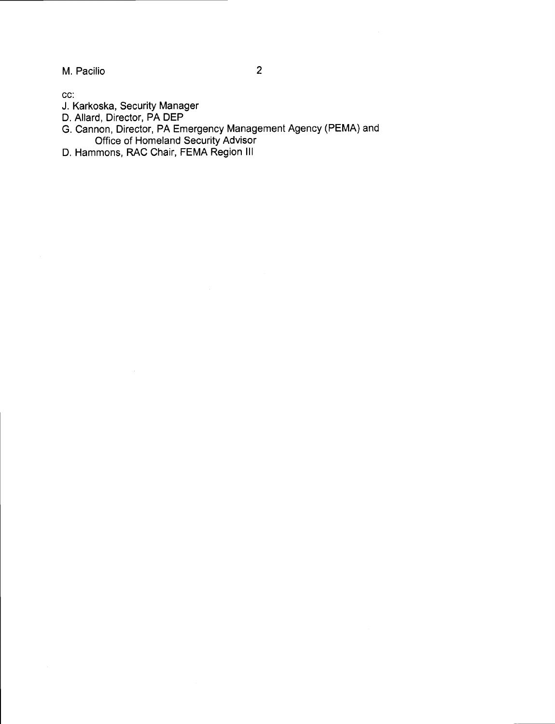M. Pacilio

 $\overline{2}$ 

cc:

- J. Karkoska, Security Manager
- D. Allard, Director, PA DEP
- G. Cannon, Director, PA Emergency Management Agency (PEMA) and Office of Homeland Security Advisor
- D, Hammons, RAC Chair, FEMA Region lll